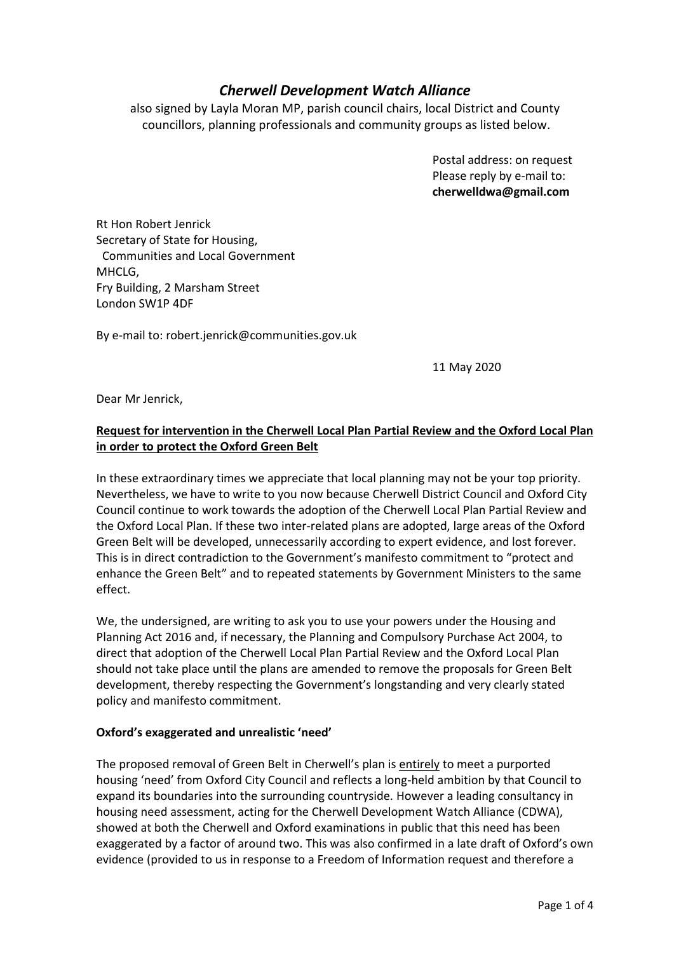# *Cherwell Development Watch Alliance*

also signed by Layla Moran MP, parish council chairs, local District and County councillors, planning professionals and community groups as listed below.

> Postal address: on request Please reply by e-mail to: **cherwelldwa@gmail.com**

Rt Hon Robert Jenrick Secretary of State for Housing, Communities and Local Government MHCLG, Fry Building, 2 Marsham Street London SW1P 4DF

By e-mail to: robert.jenrick@communities.gov.uk

11 May 2020

Dear Mr Jenrick,

# **Request for intervention in the Cherwell Local Plan Partial Review and the Oxford Local Plan in order to protect the Oxford Green Belt**

In these extraordinary times we appreciate that local planning may not be your top priority. Nevertheless, we have to write to you now because Cherwell District Council and Oxford City Council continue to work towards the adoption of the Cherwell Local Plan Partial Review and the Oxford Local Plan. If these two inter-related plans are adopted, large areas of the Oxford Green Belt will be developed, unnecessarily according to expert evidence, and lost forever. This is in direct contradiction to the Government's manifesto commitment to "protect and enhance the Green Belt" and to repeated statements by Government Ministers to the same effect.

We, the undersigned, are writing to ask you to use your powers under the Housing and Planning Act 2016 and, if necessary, the Planning and Compulsory Purchase Act 2004, to direct that adoption of the Cherwell Local Plan Partial Review and the Oxford Local Plan should not take place until the plans are amended to remove the proposals for Green Belt development, thereby respecting the Government's longstanding and very clearly stated policy and manifesto commitment.

#### **Oxford's exaggerated and unrealistic 'need'**

The proposed removal of Green Belt in Cherwell's plan is entirely to meet a purported housing 'need' from Oxford City Council and reflects a long-held ambition by that Council to expand its boundaries into the surrounding countryside. However a leading consultancy in housing need assessment, acting for the Cherwell Development Watch Alliance (CDWA), showed at both the Cherwell and Oxford examinations in public that this need has been exaggerated by a factor of around two. This was also confirmed in a late draft of Oxford's own evidence (provided to us in response to a Freedom of Information request and therefore a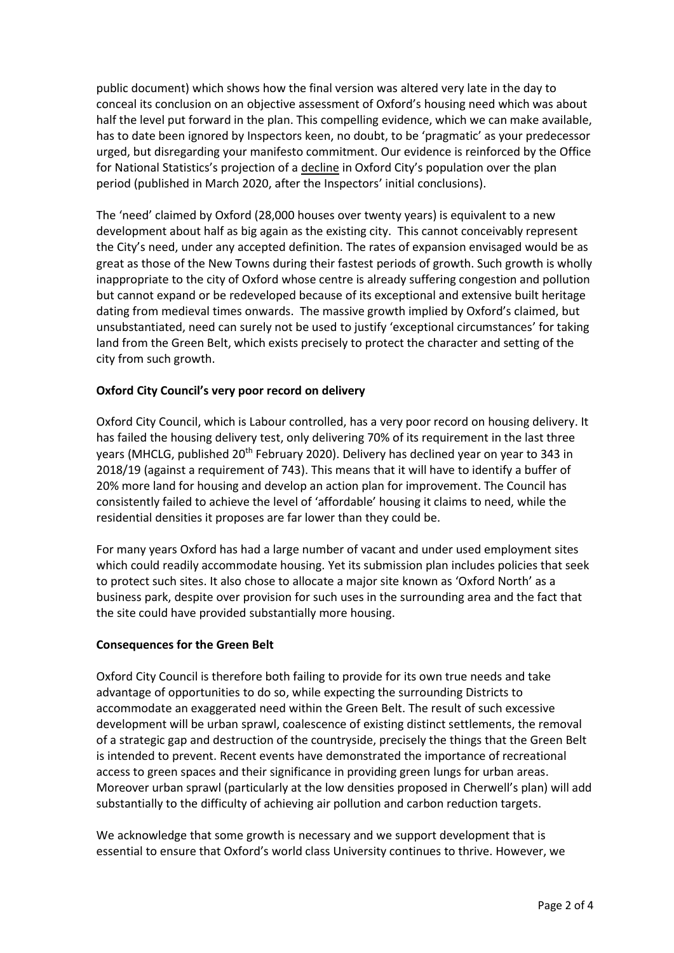public document) which shows how the final version was altered very late in the day to conceal its conclusion on an objective assessment of Oxford's housing need which was about half the level put forward in the plan. This compelling evidence, which we can make available, has to date been ignored by Inspectors keen, no doubt, to be 'pragmatic' as your predecessor urged, but disregarding your manifesto commitment. Our evidence is reinforced by the Office for National Statistics's projection of a decline in Oxford City's population over the plan period (published in March 2020, after the Inspectors' initial conclusions).

The 'need' claimed by Oxford (28,000 houses over twenty years) is equivalent to a new development about half as big again as the existing city. This cannot conceivably represent the City's need, under any accepted definition. The rates of expansion envisaged would be as great as those of the New Towns during their fastest periods of growth. Such growth is wholly inappropriate to the city of Oxford whose centre is already suffering congestion and pollution but cannot expand or be redeveloped because of its exceptional and extensive built heritage dating from medieval times onwards. The massive growth implied by Oxford's claimed, but unsubstantiated, need can surely not be used to justify 'exceptional circumstances' for taking land from the Green Belt, which exists precisely to protect the character and setting of the city from such growth.

### **Oxford City Council's very poor record on delivery**

Oxford City Council, which is Labour controlled, has a very poor record on housing delivery. It has failed the housing delivery test, only delivering 70% of its requirement in the last three years (MHCLG, published 20<sup>th</sup> February 2020). Delivery has declined year on year to 343 in 2018/19 (against a requirement of 743). This means that it will have to identify a buffer of 20% more land for housing and develop an action plan for improvement. The Council has consistently failed to achieve the level of 'affordable' housing it claims to need, while the residential densities it proposes are far lower than they could be.

For many years Oxford has had a large number of vacant and under used employment sites which could readily accommodate housing. Yet its submission plan includes policies that seek to protect such sites. It also chose to allocate a major site known as 'Oxford North' as a business park, despite over provision for such uses in the surrounding area and the fact that the site could have provided substantially more housing.

#### **Consequences for the Green Belt**

Oxford City Council is therefore both failing to provide for its own true needs and take advantage of opportunities to do so, while expecting the surrounding Districts to accommodate an exaggerated need within the Green Belt. The result of such excessive development will be urban sprawl, coalescence of existing distinct settlements, the removal of a strategic gap and destruction of the countryside, precisely the things that the Green Belt is intended to prevent. Recent events have demonstrated the importance of recreational access to green spaces and their significance in providing green lungs for urban areas. Moreover urban sprawl (particularly at the low densities proposed in Cherwell's plan) will add substantially to the difficulty of achieving air pollution and carbon reduction targets.

We acknowledge that some growth is necessary and we support development that is essential to ensure that Oxford's world class University continues to thrive. However, we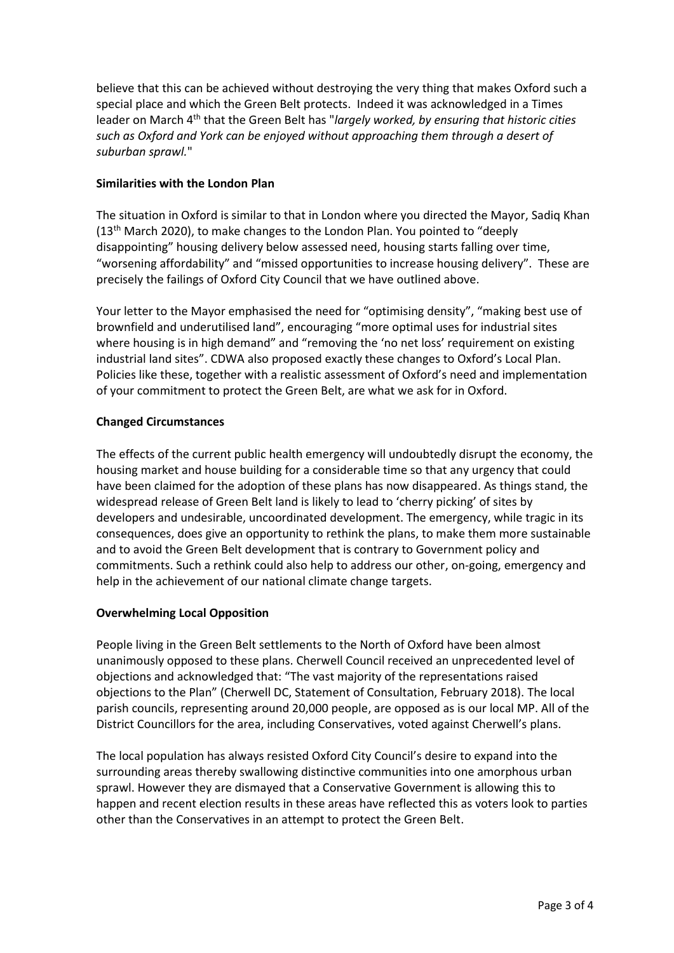believe that this can be achieved without destroying the very thing that makes Oxford such a special place and which the Green Belt protects. Indeed it was acknowledged in a Times leader on March 4th that the Green Belt has "*largely worked, by ensuring that historic cities such as Oxford and York can be enjoyed without approaching them through a desert of suburban sprawl.*"

### **Similarities with the London Plan**

The situation in Oxford is similar to that in London where you directed the Mayor, Sadiq Khan (13th March 2020), to make changes to the London Plan. You pointed to "deeply disappointing" housing delivery below assessed need, housing starts falling over time, "worsening affordability" and "missed opportunities to increase housing delivery". These are precisely the failings of Oxford City Council that we have outlined above.

Your letter to the Mayor emphasised the need for "optimising density", "making best use of brownfield and underutilised land", encouraging "more optimal uses for industrial sites where housing is in high demand" and "removing the 'no net loss' requirement on existing industrial land sites". CDWA also proposed exactly these changes to Oxford's Local Plan. Policies like these, together with a realistic assessment of Oxford's need and implementation of your commitment to protect the Green Belt, are what we ask for in Oxford.

#### **Changed Circumstances**

The effects of the current public health emergency will undoubtedly disrupt the economy, the housing market and house building for a considerable time so that any urgency that could have been claimed for the adoption of these plans has now disappeared. As things stand, the widespread release of Green Belt land is likely to lead to 'cherry picking' of sites by developers and undesirable, uncoordinated development. The emergency, while tragic in its consequences, does give an opportunity to rethink the plans, to make them more sustainable and to avoid the Green Belt development that is contrary to Government policy and commitments. Such a rethink could also help to address our other, on-going, emergency and help in the achievement of our national climate change targets.

# **Overwhelming Local Opposition**

People living in the Green Belt settlements to the North of Oxford have been almost unanimously opposed to these plans. Cherwell Council received an unprecedented level of objections and acknowledged that: "The vast majority of the representations raised objections to the Plan" (Cherwell DC, Statement of Consultation, February 2018). The local parish councils, representing around 20,000 people, are opposed as is our local MP. All of the District Councillors for the area, including Conservatives, voted against Cherwell's plans.

The local population has always resisted Oxford City Council's desire to expand into the surrounding areas thereby swallowing distinctive communities into one amorphous urban sprawl. However they are dismayed that a Conservative Government is allowing this to happen and recent election results in these areas have reflected this as voters look to parties other than the Conservatives in an attempt to protect the Green Belt.